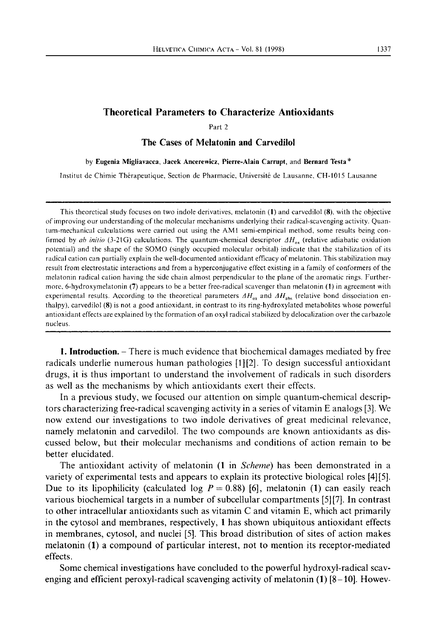Part 2

## **The Cases of Melatonin and Carvedilol**

## by **Eugenia Migliavacca, Jacek Ancerewicz, Pierre-Alain Carrupt,** and **Bernard Testa** \*

Institut dc Chimie Therapeutique, Section de Pharmacie, Universite de Lausanne, CH-1015 Lausanne

This theoretical study focuses on two indole derivatives, melatonin **(1)** and carvedilol **(8).** with the objective of improving our understanding of the molecular mechanisms underlying their radical-scavenging activity. Quantum-mechanical calculations were carried out using the AM1 semi-empirical method, some results being confirmed by *ab initio* (3-21G) calculations. The quantum-chemical descriptor  $\Delta H_{ox}$  (relative adiabatic oxidation potential) and the shape of the SOMO (singly occupied molecular orbital) indicate that the stabilization of its radical cation can partially explain the well-documented antioxidant efficacy of melatonin. This stabilization may result from electrostatic interactions and from a hyperconjugative effect existing in a family of conformers of the melatonin radical cation having the side chain almost perpendicular to the plane of the aromatic rings. Furthermore, 6-hydroxymelatonin **(7)** appears to be a better free-radical scavenger than melatonin **(1)** in agreement with experimental results. According to the theoretical parameters  $AH_{ox}$  and  $AH_{abs}$  (relative bond dissociation enthalpy). carvedilol **(8)** is not a good antioxidant, in contrast to its ring-hydroxylated metabolites whose powerful antioxidant effects are explained by the formation of an oxyl radical stabilized by delocalization over the carbazole nucleus.

**1. Introduction.** – There is much evidence that biochemical damages mediated by free radicals underlie numerous human pathologies [I] [2]. To design successful antioxidant drugs, it is thus important to understand the involvement of radicals in such disorders as well as the mechanisms by which antioxidants exert their effects.

In a previous study, we focused our attention on simple quantum-chemical descriptors characterizing free-radical scavenging activity in a series of vitamin E analogs [3]. We now extend our investigations to two indole derivatives of great medicinal relevance, namely melatonin and carvedilol. The two compounds are known antioxidants as discussed below, but their molecular mechanisms and conditions of action remain to be better elucidated.

The antioxidant activity of melatonin **(1** in *Scheme)* has been demonstrated in a variety of experimental tests and appears to explain its protective biological roles [4] [S]. Due to its lipophilicity (calculated log  $P = 0.88$ ) [6], melatonin (1) can easily reach various biochemical targets in a number of subcellular compartments [S] **[7].** In contrast to other intracellular antioxidants such as vitamin C and vitamin E, which act primarily in the cytosol and membranes, respectively, **1** has shown ubiquitous antioxidant effects in membranes, cytosol, and nuclei [S]. This broad distribution of sites of action makes melatonin **(1)** a compound of particular interest, not to mention its receptor-mediated effects.

Some chemical investigations have concluded to the powerful hydroxyl-radical scavenging and efficient peroxyl-radical scavenging activity of melatonin **(1)** [8–10]. Howev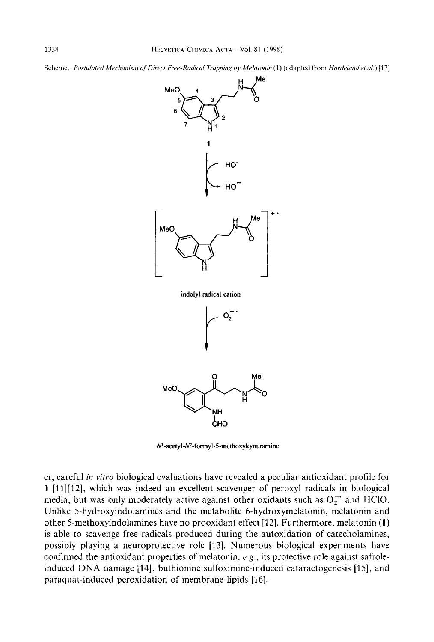Scheme. Postulated Mechanism of Direct Free-Radical Trapping by Melatonin (1) (adapted from Hardeland et al.) [17]



 $N^1$ -acetyl- $N^2$ -formyl-5-methoxykynuramine

er, careful *in vitro* biological evaluations have revealed a peculiar antioxidant profile for **1** [11][12], which was indeed an excellent scavenger of peroxyl radicals in biological media, but was only moderately active against other oxidants such as  $O_2^-$  and HClO. Unlike 5-hydroxyindolamines and the metabolite 6-hydroxymelatonin, melatonin and other 5-methoxyindolamines have no prooxidant effect [I 21. Furthermore, melatonin **(1)**  is able to scavenge free radicals produced during the autoxidation of catecholamines, possibly playing a neuroprotective role [ 131. Numerous biological experiments have confirmed the antioxidant properties of melatonin, *e.g.*, its protective role against safroleinduced DNA damage [14], buthionine sulfoximine-induced cataractogenesis [15], and paraquat-induced peroxidation of membrane lipids [16].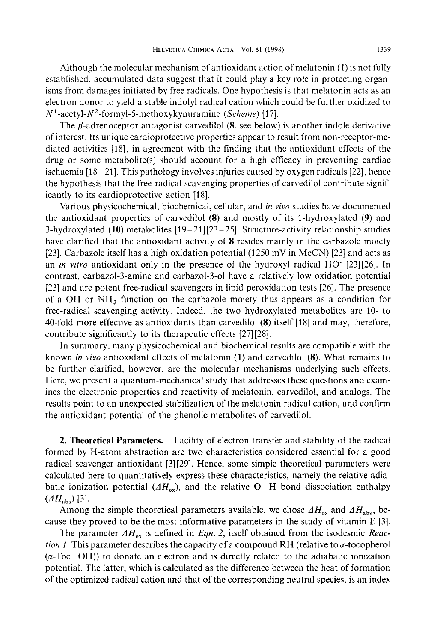Although the molecular mechanism of antioxidant action of melatonin **(1)** is not fully established, accumulated data suggest that it could play a key role in protecting organisms from damages initiated by free radicals. One hypothesis is that melatonin acts as an electron donor to yield a stable indolyl radical cation which could be further oxidized to  $N<sup>1</sup>$ -acetyl- $N<sup>2</sup>$ -formyl-5-methoxykynuramine *(Scheme)* [17].

The  $\beta$ -adrenoceptor antagonist carvedilol  $(8, \text{ see below})$  is another indole derivative of interest. Its unique cardioprotective properties appear to result from non-receptor-mediated activities [18], in agreement with the finding that the antioxidant effects of the drug or some metabolite(s) should account for a high efficacy in preventing cardiac ischaemia  $[18 - 21]$ . This pathology involves injuries caused by oxygen radicals  $[22]$ , hence the hypothesis that the free-radical scavenging properties of carvedilol contribute significantly to its cardioprotective action [18].

Various physicochemical, biochemical, cellular, and *in vivo* studies have documented the antioxidant properties of carvedilol **(8)** and mostly of its I-hydroxylated **(9)** and 3-hydroxylated **(10)** metabolites [19-21][23 -251. Structure-activity relationship studies have clarified that the antioxidant activity of **8** resides mainly in the carbazole moiety [23]. Carbazole itself has a high oxidation potential  $(1250 \text{ mV}$  in MeCN) [23] and acts as an *in vitro* antioxidant only in the presence of the hydroxyl radical HO' [23][26]. In contrast, carbazol-3-amine and carbazol-3-01 have a relatively low oxidation potential [23] and are potent free-radical scavengers in lipid peroxidation tests [26]. The presence of a OH or  $NH_2$  function on the carbazole moiety thus appears as a condition for free-radical scavenging activity. Indeed, the two hydroxylated metabolites are 10- to 40-fold more effective as antioxidants than carvedilol (8) itself [18] and may, therefore, contribute significantly to its therapeutic effects [27] [28].

In summary, many physicochemical and biochemical results are compatible with the known *in vivo* antioxidant effects of melatonin **(1)** and carvedilol **(8).** What remains to be further clarified, however, are the molecular mechanisms underlying such effects. Here, we present a quantum-mechanical study that addresses these questions and examines the electronic properties and reactivity of melatonin, carvedilol, and analogs. The results point to an unexpected stabilization of the melatonin radical cation, and confirm the antioxidant potential of the phenolic metabolites of carvedilol.

**2. Theoretical Parameters.** - Facility of electron transfer and stability of the radical formed by H-atom abstraction are two characteristics considered essential for a good radical scavenger antioxidant [3] [29]. Hence, some simple theoretical parameters were calculated here to quantitatively express these characteristics, namely the relative adiabatic ionization potential  $(AH_{ox})$ , and the relative O-H bond dissociation enthalpy  $(AH_{\rm abs})$  [3].

Among the simple theoretical parameters available, we chose  $\Delta H_{ox}$  and  $\Delta H_{abs}$ , because they proved to be the most informative parameters in the study of vitamin E [3].

The parameter  $\Delta H_{ox}$  is defined in *Eqn. 2*, itself obtained from the isodesmic *Reaction 1.* This parameter describes the capacity of a compound RH (relative to  $\alpha$ -tocopherol  $(\alpha$ -Toc-OH)) to donate an electron and is directly related to the adiabatic ionization potential. The latter, which is calculated as the difference between the heat of formation of the optimized radical cation and that of the corresponding neutral species, is an index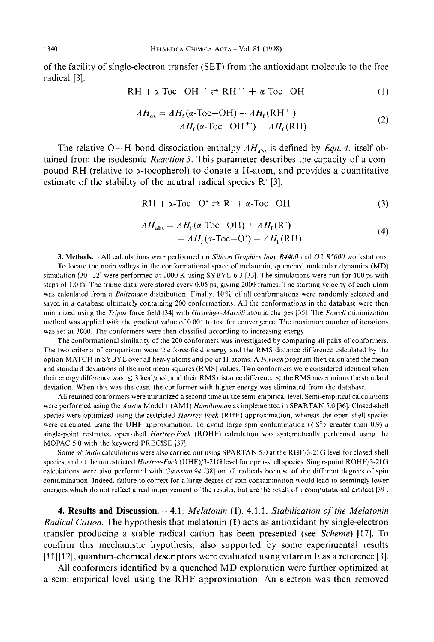of the facility of single-electron transfer (SET) from the antioxidant molecule to the free radical [3].

$$
RH + \alpha \text{-} \text{Toc} - \text{OH}^{+} \rightleftharpoons RH^{+} + \alpha \text{-} \text{Toc} - \text{OH}
$$
 (1)

$$
\Delta H_{ox} = \Delta H_f (\alpha - \text{Toc-OH}) + \Delta H_f (\text{RH}^+) \n- \Delta H_f (\alpha - \text{Toc-OH}^+) - \Delta H_f (\text{RH})
$$
\n(2)

The relative O-H bond dissociation enthalpy  $AH<sub>abs</sub>$  is defined by *Eqn. 4*, itself obtained from the isodesmic *Reaction* 3. This parameter describes the capacity of a compound RH (relative to  $\alpha$ -tocopherol) to donate a H-atom, and provides a quantitative estimate of the stability of the neutral radical species  $R^{+}[3]$ .

$$
RH + \alpha \text{-} \text{Toc} - O' \rightleftarrows R' + \alpha \text{-} \text{Toc} - OH
$$
 (3)

$$
\Delta H_{\text{abs}} = \Delta H_{\text{f}}(\alpha \text{-} \text{Toc} - \text{OH}) + \Delta H_{\text{f}}(\text{R}^{\cdot})
$$
  
- 
$$
\Delta H_{\text{f}}(\alpha \text{-} \text{Toc} - \text{O}^{\cdot}) - \Delta H_{\text{f}}(\text{R}^{\cdot} \text{H})
$$
 (4)

**3. Methods.** . All calculations were performed on *Silicon Gruprphic.s Indy R4400* and 02 *R5000* workstations. To locate the main valleys in the conformational space of melatonin. quenched molecular dynamics (MD) simulation [30-321 were performed at 2000 K using SYBYL *6.3* [33]. The simulations were run for 100 ps with steps of 1.0 fs. The frame data were stored every 0.05 ps, giving 2000 frames. The starting velocity of each atom was calculated from a *Boltzmann* distribution. Finally, 10% of all conformations were randomly selected and saved in a database ultimately containing 200 conformations. All the conformations in the database were then minimized using the *Trips* force field [34] with *Gusteiger-Marsili* atomic charges [35]. The *Pourll* minimization method was applied with the gradient value of 0.001 to test for convergence. The maximum number of iterations was set at 3000. The conformers were then classified according to increasing energy.

The conformational similarity of the 200 conformers was investigated by comparing all pairs of conformers. The two criteria of comparison were the force-field energy and the RMS distance difference calculated by the option MATCH in SYBYL over all heavy atoms and polar H-atoms. A *Fortrun* program then calculated the mean and standard deviations of the root mean squares (RMS) values. Two conformers were considered identical when their energy difference was  $\leq 3$  kcal/mol, and their RMS distance difference  $\leq$  the RMS mean minus the standard deviation. When this was the case, the conformer with higher energy was eliminated from the database.

All retained conformers were minimized a second time at the semi-empirical level. Semi-empirical calculations were performed using the *Austin* Model 1 (AMl) *Hurniltoniun* as implemented in SPARTAN 5.0 **[36].** Closed-shell species were optimized using the restricted *Hartrre-Fock* (RHF) approximation, whereas the open-shell species were calculated using the UHF approximation. To avoid large spin contamination  $(\langle S^2 \rangle)$  greater than 0.9) a single-point restricted open-shell *Hartree-Fock* (ROHF) calculation was systematically performed using the MOPAC 5.0 with the keyword PRECISE **[37].** 

Some *ah initio* calculations were also carried out using SPARTAN 5.0 at the RHF/3-21G level for closed-shell species, and at the unrestricted *Hartree-Fock* (UHF)/3-21 G level for open-shell species. Single-point ROHF/3-21 G calculations were also performed with *Gaussian 94* **[38]** on all radicals because of the different degrees of spin contamination. Indeed, failure to correct for a large degree of spin contamination would lead to seemingly lower energies which do not reflect a real improvement of the results, but are the result of a computational artifact **[39].** 

**4. Results and Discussion.** - 4.1. *Melatonin* **(1).** 4.1.1. *Stabilization of' the Melatonin Radical Cation.* The hypothesis that melatonin **(1)** acts as antioxidant by single-electron transfer producing a stable radical cation has been presented (see *Scheme)* [17]. To confirm this mechanistic hypothesis, also supported by some experimental results [l I] [12], quantum-chemical descriptors were evaluated using vitamin E as a reference [3].

**All** conformers identified by a quenched MD exploration were further optimized at a semi-empirical level using the RHF approximation. An electron was then removed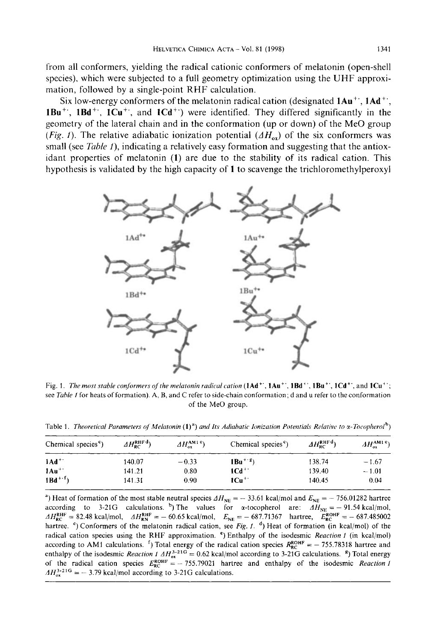from all conformers, yielding the radical cationic conformers of melatonin (open-shell species), which were subjected to a full geometry optimization using the UHF approximation, followed by a single-point RHF calculation.

Six low-energy conformers of the melatonin radical cation (designated **lAu'', 1 Ad", IBu", lBd'', ICu'',** and **1Cd")** were identified. They differed significantly in the geometry of the lateral chain and in the conformation (up or down) of the Me0 group *(Fig. 1).* The relative adiabatic ionization potential  $(4H_{ox})$  of the six conformers was small (see *Table 1*), indicating a relatively easy formation and suggesting that the antioxidant properties of melatonin **(1)** are due to the stability of its radical cation. This hypothesis is validated by the high capacity of 1 to scavenge the trichloromethylperoxyl



Fig. 1. *Themost stable conformers qjthemelatonin radicalcution* **(lAd", lAu", IBd", IBu'', ICd",** and **1Cu";**  see *Tuhle* **I** for heats of formation). **A,** B, and C refer to side-chain conformation; d and u refer to the conformation of the **Me0** group.

Table 1. *Theoretical Parameters of Melatonin*  $(1)^a$  *and Its Adiabatic Ionization Potentials Relative to*  $\alpha$ *-Tocopherol<sup>b</sup>)* 

| Chemical species <sup>c</sup> ) | $AH_{RC}^{RHFd})$ | AH <sub>ox</sub> <sup>AM1 e</sup> ) | Chemical species <sup>c</sup> ) | $\Delta H_{\text{RC}}^{\text{RHFd}}$ | $AH_{\rm ox}^{\rm AM1.6}$ |
|---------------------------------|-------------------|-------------------------------------|---------------------------------|--------------------------------------|---------------------------|
| $1Ad+$                          | 140.07            | $-0.33$                             | $1Bu^{+g}$                      | 138.74                               | $-1.67$                   |
| $1Au^{++}$                      | 141.21            | 0.80                                | $1Cd^+$                         | 139.40                               | $-1.01$                   |
| $IBd^{+f}$                      | 141.31            | 0.90                                | $1Cu^{+}$                       | 140.45                               | 0.04                      |

<sup>a</sup>) Heat of formation of the most stable neutral species  $\Delta H_{\text{NE}} = -33.61$  kcal/mol and  $E_{\text{NE}} = -756.01282$  hartree ") Heat of formation of the most stable neutral species  $\Delta H_{\text{NE}} = -33.61$  kcal/mol and  $E_{\text{NE}} = -756.01282$  hartree according to 3-21G calculations. <sup>b</sup>) The values for  $\alpha$ -tocopherol are:  $\Delta H_{\text{NE}} = -91.54$  kcal/mol, according to 3-21G calculations. ") The values for  $\alpha$ -tocopherol are:  $\Delta H_{\text{NE}} = -91.54 \text{ kcal/mol}$ ,<br> $\Delta H_{\text{RC}}^{\text{RHF}} = 82.48 \text{ kcal/mol}$ ,  $\Delta H_{\text{RN}}^{\text{RHF}} = -60.65 \text{ kcal/mol}$ ,  $E_{\text{NE}} = -687.71367$  hartree,  $E_{\text{RC}}^{\text{ROHF}} = -687.485002$ hartree. <sup>c</sup>) Conformers of the melatonin radical cation, see *Fig. 1*. <sup>d</sup>) Heat of formation (in kcal/mol) of the radical cation species using the RHF approximation. ') Enthalpy of the isodesmic *Reacrion I* (in kcal/mol) according to AM1 calculations. <sup>f</sup>) Total energy of the radical cation species  $R_{\text{RC}}^{\text{ROHF}} = -755.78318$  hartree and enthalpy of the isodesmic *Reaction 1*  $\Delta H_{ox}^{3-216} = 0.62$  kcal/mol according to 3-21G calculations. <sup>8</sup>) Total energy<br>of the radical cation species  $E_{RC}^{ROHF} = -755.79021$  hartree and enthalpy of the isodesmic *Reaction* of the radical cation species  $E_{\text{RC}}^{\text{norm}} = -755.79021$  harts  $AH_{ox}^{3.21G} = -3.79$  kcal/mol according to 3-21G calculations.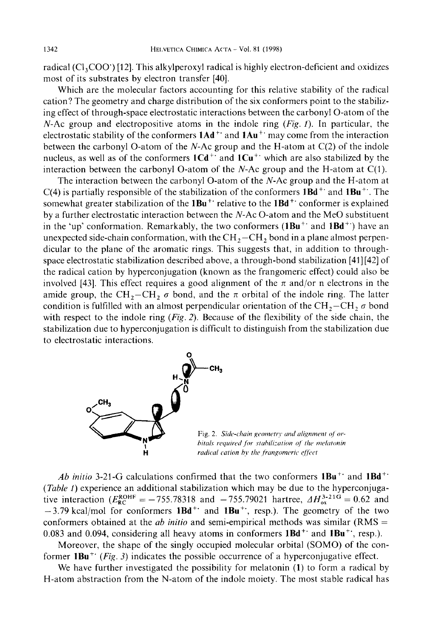radical  $(Cl_3COO')$  [12]. This alkylperoxyl radical is highly electron-deficient and oxidizes most of its substrates by electron transfer [40].

Which are the molecular factors accounting for this relative stability of the radical cation? The geometry and charge distribution of the six conformers point to the stabilizing effect of through-space electrostatic interactions between the carbonyl 0-atom of the N-Ac group and electropositive atoms in the indole ring *(Fig. I).* In particular, the electrostatic stability of the conformers **1Ad"** and **1Au"** may come from the interaction between the carbonyl 0-atom of the N-Ac group and the H-atom at C(2) of the indole nucleus, as well as of the conformers  $1Cd^+$  and  $1Cu^+$  which are also stabilized by the interaction between the carbonyl O-atom of the N-Ac group and the H-atom at  $C(1)$ .

The interaction between the carbonyl 0-atom of the N-Ac group and the H-atom at C(4) is partially responsible of the stabilization of the conformers  $1Bd^+$  and  $1Bu^+$ . The somewhat greater stabilization of the **1Bu"** relative to the **IBd"** conformer is explained by a further electrostatic interaction between the N-Ac 0-atom and the Me0 substituent in the 'up' conformation. Remarkably, the two conformers **(1Bu"** and **1Bd")** have an unexpected side-chain conformation, with the  $\text{CH}_2-\text{CH}_2$  bond in a plane almost perpendicular to the plane of the aromatic rings. This suggests that, in addition to throughspace electrostatic stabilization described above, a through-bond stabilization [41] [42] of the radical cation by hyperconjugation (known as the frangomeric effect) could also be involved [43]. This effect requires a good alignment of the  $\pi$  and/or n electrons in the amide group, the CH<sub>2</sub>-CH<sub>2</sub>  $\sigma$  bond, and the  $\pi$  orbital of the indole ring. The latter condition is fulfilled with an almost perpendicular orientation of the  $CH_2-CH_2 \sigma$  bond with respect to the indole ring *(Fig.* 2). Because of the flexibility of the side chain, the stabilization due to hyperconjugation is difficult to distinguish from the stabilization due to electrostatic interactions.



Fig. 2. Side-chain geometry and alignment of or*hitals required for stabilization of the melatonin* radical cation by the frangomeric effect

Ab initio 3-21-G calculations confirmed that the two conformers  $1Bu^{+}$  and  $1Bd^{+}$ *(Table* **I)** experience an additional stabilization which may be due to the hyperconjugative interaction ( $E_{\text{RC}}^{\text{ROHF}} = -755.78318$  and  $-755.79021$  hartree,  $\Delta H_{ox}^{3-219} = 0.62$  and -3.79 kcal/mol for conformers **1Bd"** and **IBu'',** resp.). The geometry of the two conformers obtained at the *ab initio* and semi-empirical methods was similar (RMS = 0.083 and 0.094, considering all heavy atoms in conformers 1Bd<sup>++</sup> and 1Bu<sup>++</sup>, resp.).

Moreover, the shape of the singly occupied molecular orbital (SOMO) of the conformer **1Bu"** *(Fig.* 3) indicates the possible occurrence of a hyperconjugative effect.

We have further investigated the possibility for melatonin **(1)** to form a radical by H-atom abstraction from the N-atom of the indole moiety. The most stable radical has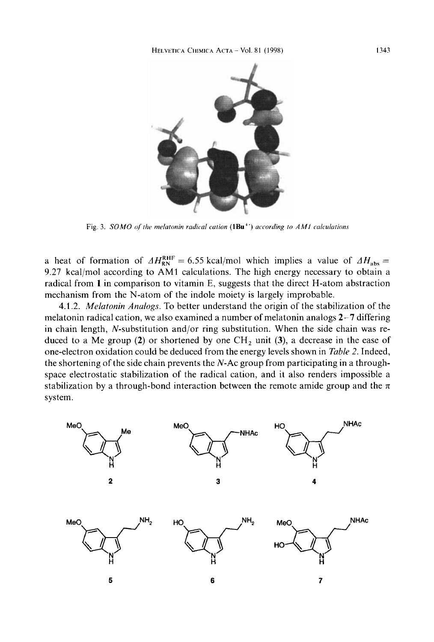

Fig. 3. SOMO of the melatonin radical cation  $(1Bu^{+})$  according to AM1 calculations

a heat of formation of  $\Delta H_{\text{RN}}^{\text{RHF}} = 6.55 \text{ kcal/mol}$  which implies a value of  $\Delta H_{\text{abs}} =$ 9.27 kcal/mol according to AM1 calculations. The high energy necessary to obtain a radical from 1 in comparison to vitamin E, suggests that the direct H-atom abstraction mechanism from the N-atom of the indole moiety is largely improbable.

4.1.2. Melatonin Analogs. To better understand the origin of the stabilization of the melatonin radical cation, we also examined a number of melatonin analogs  $2-7$  differing in chain length, N-substitution and/or ring substitution. When the side chain was reduced to a Me group (2) or shortened by one  $CH_2$  unit (3), a decrease in the ease of one-electron oxidation could be deduced from the energy levels shown in Table 2. Indeed, the shortening of the side chain prevents the  $N$ -Ac group from participating in a throughspace electrostatic stabilization of the radical cation, and it also renders impossible a stabilization by a through-bond interaction between the remote amide group and the  $\pi$ system.

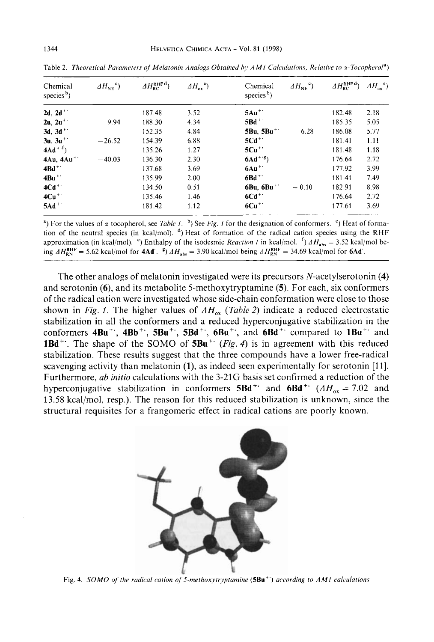| Chemical<br>species <sup>b</sup> ) | $\Delta H_{\text{NE}}^{\text{c}}$ | $AH_{RC}^{\rm RHFd})$ | $\Delta H_{\alpha}^{\quad e}$ | Chemical<br>species $b$ ) | $\Delta H_{\text{NE}}^{\text{c}}$ | $\Delta H_{\text{RC}}^{\text{RHFd}}$ | $AH_{\alpha}^{\e}$ <sup>e</sup> ) |
|------------------------------------|-----------------------------------|-----------------------|-------------------------------|---------------------------|-----------------------------------|--------------------------------------|-----------------------------------|
| $2d, 2d^+$                         |                                   | 187.48                | 3.52                          | $5Au^{++}$                |                                   | 182.48                               | 2.18                              |
| $2u, 2u^{+}$                       | 9.94                              | 188.30                | 4.34                          | 5Bd <sup>+</sup>          |                                   | 185.35                               | 5.05                              |
| 3d, $3d^+$                         |                                   | 152.35                | 4.84                          | 5Bu, $5Bu^+$              | 6.28                              | 186.08                               | 5.77                              |
| $3u, 3u^{+}$                       | $-26.52$                          | 154.39                | 6.88                          | $5Cd +$                   |                                   | 181.41                               | 1.11                              |
| $4Ad^{+f}$                         |                                   | 135.26                | 1.27                          | $5Cu++$                   |                                   | 181.48                               | 1.18                              |
| 4Au, 4Au <sup>+</sup>              | $-40.03$                          | 136.30                | 2.30                          | $6\text{Ad}^{+8}$         |                                   | 176.64                               | 2.72                              |
| $4Bd^+$                            |                                   | 137.68                | 3.69                          | $6Au^+$                   |                                   | 177.92                               | 3.99                              |
| $4Bu$ <sup>++</sup>                |                                   | 135.99                | 2.00                          | $6Bd^+$                   |                                   | 181.41                               | 7.49                              |
| $4Cd++$                            |                                   | 134.50                | 0.51                          | 6Bu, 6Bu <sup>+</sup>     | $-0.10$                           | 182.91                               | 8.98                              |
| $4Cu+$                             |                                   | 135.46                | 1.46                          | $6Cd +$                   |                                   | 176.64                               | 2.72                              |
| $5Ad+$                             |                                   | 181.42                | 1.12                          | $6Cu^{+}$                 |                                   | 177.61                               | 3.69                              |

Table 2. Theoretical Parameters of Melatonin Analogs Obtained by AM1 Calculations, Relative to x-Tocopherol<sup>a</sup>)

<sup>a</sup>) For the values of  $\alpha$ -tocopherol, see *Table 1*. <sup>b</sup>) See Fig. 1 for the designation of conformers. <sup>c</sup>) Heat of formation of the neutral species (in kcal/mol). <sup>4</sup>) Heat of formation of the radical cation species using the RHF approximation (in kcal/mol). <sup>e</sup>) Enthalpy of the isodesmic *Reaction 1* in kcal/mol. <sup>f</sup>)  $\Delta H_{\text{abs}} = 3.52$  kcal/mol being  $AH_{RN}^{RHF} = 5.62$  kcal/mol for **4Ad**. <sup>8</sup>)  $AH_{abs} = 3.90$  kcal/mol being  $AH_{RN}^{RHF} = 34.69$  kcal/mol for **6Ad**.

The other analogs of melatonin investigated were its precursors  $N$ -acetylserotonin  $(4)$ and serotonin  $(6)$ , and its metabolite 5-methoxytryptamine  $(5)$ . For each, six conformers of the radical cation were investigated whose side-chain conformation were close to those shown in Fig. 1. The higher values of  $AH_{ox}$  (Table 2) indicate a reduced electrostatic stabilization in all the conformers and a reduced hyperconjugative stabilization in the conformers  $4Bu^+$ ,  $4Bb^+$ ,  $5Bu^+$ ,  $5Bd^+$ ,  $6Bu^+$ , and  $6Bd^+$  compared to  $1Bu^+$  and 1Bd<sup>++</sup>. The shape of the SOMO of 5Bu<sup>++</sup> (Fig. 4) is in agreement with this reduced stabilization. These results suggest that the three compounds have a lower free-radical scavenging activity than melatonin  $(1)$ , as indeed seen experimentally for serotonin [11]. Furthermore, ab initio calculations with the 3-21G basis set confirmed a reduction of the hyperconjugative stabilization in conformers 5Bd<sup>+</sup> and 6Bd<sup>+</sup> ( $\Delta H_{ox} = 7.02$  and 13.58 kcal/mol, resp.). The reason for this reduced stabilization is unknown, since the structural requisites for a frangomeric effect in radical cations are poorly known.



Fig. 4. SOMO of the radical cation of 5-methoxytryptamine (5Bu<sup>++</sup>) according to AM1 calculations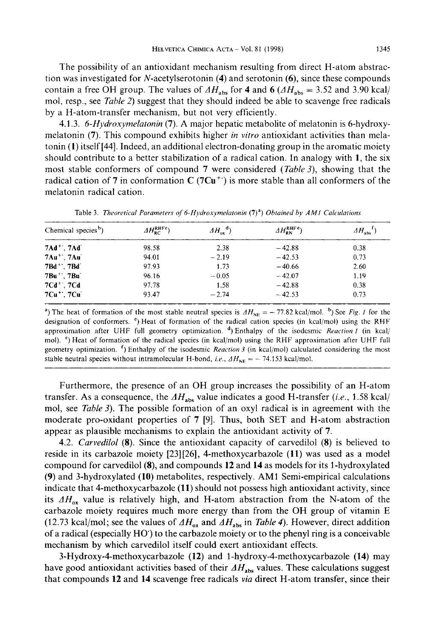The possibility of an antioxidant mechanism resulting from direct H-atom abstraction was investigated for N-acetylserotonin **(4)** and serotonin **(ti),** since these compounds contain a free OH group. The values of  $AH<sub>abs</sub>$  for **4** and **6**  $AH<sub>abs</sub> = 3.52$  and 3.90 kcal/ mol, resp., see *Table* 2) suggest that they should indeed be able to scavenge free radicals by a H-atom-transfer mechanism, but not very efficiently.

4.1.3. *6-Hydroxymelatonin* **(7). A** major hepatic metabolite of melatonin is 6-hydroxymelatonin **(7).** This compound exhibits higher *in vitro* antioxidant activities than melatonin **(1)** itself [44]. Indeed, an additional electron-donating group in the aromatic moiety should contribute to a better stabilization of a radical cation. In analogy with **1,** the six most stable conformers of compound **7** were considered *(TableJ),* showing that the radical cation of **7** in conformation **C (7Cu")** is more stable than all conformers of the melatonin radical cation.

| Chemical species <sup>b</sup> )      | $\Delta H_{BC}^{\text{RHFC}}$ | $\Delta H_{\alpha}^{\quad d})$ | $\Delta H_{\rm RN}^{\rm RHF}$ <sup>e</sup> ) | $\Delta H_{\text{abs}}^{-1}$ |
|--------------------------------------|-------------------------------|--------------------------------|----------------------------------------------|------------------------------|
| $7Ad^+$ ; $7Ad$                      | 98.58                         | 2.38                           | $-42.88$                                     | 0.38                         |
| $7Au^{+}$ , $7Au$                    | 94.01                         | $-2.19$                        | $-42.53$                                     | 0.73                         |
| 7Bd <sup>+</sup> , 7Bd               | 97.93                         | 1.73                           | $-40.66$                                     | 2.60                         |
| 7Bu ** . 7Bu                         | 96.16                         | $-0.05$                        | $-42.07$                                     | 1.19                         |
| $7Cd^+$ ; $7Cd$                      | 97.78                         | 1.58                           | $-42.88$                                     | 0.38                         |
| 7Cu <sup>++</sup> , 7Cu <sup>+</sup> | 93.47                         | $-2.74$                        | $-42.53$                                     | 0.73                         |

Table 3. *Theoretical Parameters of 6-Hydroxymelatonin* (7)<sup>a</sup>) *Obtained by AM1 Calculations* 

<sup>a</sup>) The heat of formation of the most stable neutral species is  $AH_{NE} = -77.82$  kcal/mol. <sup>b</sup>) See *Fig. 1* for the designation of conformers. ') Heat of formation of the radical cation species (in kcal/mol) using the RHF approximation after UHF full geometry optimization. **d,** Enthalpy of the isodcsmic *Reaclion I* (in kcal/ mol). <sup>e</sup>) Heat of formation of the radical species (in kcal/mol) using the RHF approximation after UHF full geometry optimization. ') Enthalpy of the isodesmic *Reaction 3* (in kcal/mol) calculated considering the most stable neutral species without intramolecular H-bond, *i.e.*,  $\Delta H_{NE} = -74.153$  kcal/mol.

Furthermore, the presence of an OH group increases the possibility of an H-atom transfer. As a consequence, the  $AH<sub>abs</sub>$  value indicates a good H-transfer (i.e., 1.58 kcal/ mol, see *Table 3*). The possible formation of an oxyl radical is in agreement with the moderate pro-oxidant properties of **7** [9]. Thus, both SET and H-atom abstraction appear as plausible mechanisms to explain the antioxidant activity of **7.** 

4.2. *Carvedilol* **(8).** Since the antioxidant capacity of carvedilol **(8)** is believed to reside in its carbazole moiety [23][26], 4-methoxycarbazole **(11)** was used as a model compound for carvedilol **(8),** and compounds **12** and **14** as models for its I-hydroxylated **(9)** and 3-hydroxylated **(10)** metabolites, respectively. **AM** 1 Semi-empirical calculations indicate that 4-methoxycarbazole **(1 1)** should not possess high antioxidant activity, since its  $AH_{ox}$  value is relatively high, and H-atom abstraction from the N-atom of the carbazole moiety requires much more energy than from the OH group of vitamin E (12.73 kcal/mol; see the values of  $\Delta H_{ox}$  and  $\Delta H_{abs}$  in *Table 4*). However, direct addition of a radical (especially HO) to the carbazole moiety or to the phenyl ring is a conceivable mechanism by which carvedilol itself could exert antioxidant effects.

3-Hydroxy-4-methoxycarbazole **(12)** and **1-hydroxy-4-methoxycarbazole (14)** may have good antioxidant activities based of their  $AH<sub>abs</sub>$  values. These calculations suggest that compounds **12** and **14** scavenge free radicals *via* direct H-atom transfer, since their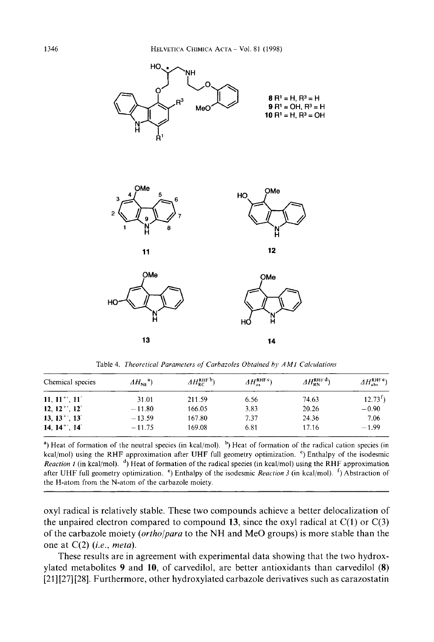

Table 4. *Theoretical Parameters of Carbazoles Obtained by AM1 Calculations* 

| Chemical species                | $AH_{\text{NE}}^{a}$ | $AH_{BC}^{\rm RHF~b}$ | $\Delta H_{\rm ox}^{\rm RHF}$ <sup>c</sup> | $AH_{RN}^{RHFd})$ | AH <sub>abs</sub> <sup>RHF e</sup> ) |
|---------------------------------|----------------------|-----------------------|--------------------------------------------|-------------------|--------------------------------------|
| $11, 11^{+1}, 11^{+}$           | 31.01                | 211.59                | 6.56                                       | 74.63             | $12.73f$ )                           |
| $12, 12^+$ , $12^-$             | $-11.80$             | 166.05                | 3.83                                       | 20.26             | $-0.90$                              |
| $13, 13^{\circ}$ , $13^{\circ}$ | $-13.59$             | 167.80                | 7.37                                       | 24.36             | 7.06                                 |
| $14, 14^{+1}, 14^{+1}$          | $-11.75$             | 169.08                | 6.81                                       | 17.16             | $-1.99$                              |

<sup>a</sup>) Heat of formation of the neutral species (in kcal/mol). <sup>b</sup>) Heat of formation of the radical cation species (in kcal/mol) using the RHF approximation after UHF full geometry optimization. <sup>c</sup>) Enthalpy of the isodesmic *Reaction 1* (in kcal/mol).  $d$ , Heat of formation of the radical species (in kcal/mol) using the RHF approximation after UHF full geometry optimization. ') Enthalpy of the isodesmic *Reaction 3* (in kcal/mol). ') Abstraction of the H-atom from the N-atom of the carbazole moiety.

oxyl radical is relatively stable. These two compounds achieve a better delocalization of the unpaired electron compared to compound **13**, since the oxyl radical at  $C(1)$  or  $C(3)$ of the carbazole moiety *(ortho/para* to the NH and Me0 groups) is more stable than the one at C(2) *(ie., meta).* 

These results are in agreement with experimental data showing that the two hydroxylated metabolites **9** and **10,** of carvedilol, are better antioxidants than carvedilol **(8)**  [21] [27] [28]. Furthermore, other hydroxylated carbazole derivatives such as carazostatin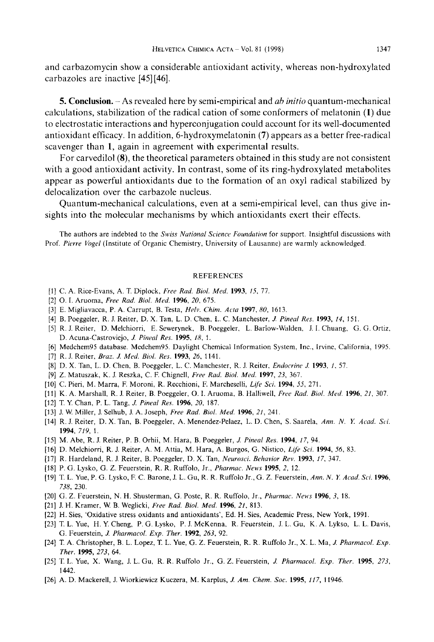and carbazomycin show a considerable antioxidant activity, whereas non-hydroxylated carbazoles are inactive [45] [46].

*5.* **Conclusion.** - **As** revealed here by semi-empirical and *ah inirio* quantum-mechanical calculations, stabilization of the radical cation of some conformers of melatonin **(1)** due to electrostatic interactions and hyperconjugation could account for its well-documented antioxidant efficacy. In addition, 6-hydroxymelatonin **(7)** appears as a better free-radical scavenger than **1,** again in agreement with experimental results.

For carvedilol **(S),** the theoretical parameters obtained in this study are not consistent with a good antioxidant activity. In contrast, some of its ring-hydroxylated metabolites appear as powerful antioxidants due to the formation of an oxyl radical stabilized by delocalization over the carbazole nucleus.

Quantum-mechanical calculations, even at a semi-empirical level, can thus give insights into the molecular mechanisms by which antioxidants exert their effects.

The authors are indebted to the *Swiss National Science Foundarion* for support. Insightful discussions with Prof. *Pierre Vogrl* (Institute of Organic Chemistry, University of Lausanne) are warmly acknowledged.

## REFERENCES

- [l] C. A. Rice-Evans, A. T. Diplock, *Free Rad. Bid. Med.* **1993,** *15,* 77.
- [2] 0. **I.** Aruoma, *Free Rad. Biol. Med.* **1996,** *20,* 675.
- [3] E. Migliavacca, P. **A.** Carrupt, B. Testa, *Hell>. Chim. Acta* **1997,** *80,* 1613.
- [4] B. Poeggeler, R. J. Reiter, D. X. Tan, L. D. Chen, L. C. Manchester, *J. Pineal Res.* **1993,** *14,* 151.
- [5] R. J. Reiter, D. Melchiorri, E. Sewerynek, B. Poeggeler, L. Barlow-Wdlden, J. I. Chuang, G. G. Ortiz, D. Acuna-Castroviejo, *J. Pineal Res.* **1995,** *18,* 1.
- [6] Medchem95 database. Medchem95. Daylight Chemical Information System, Inc.. Irvine, California, 1995.
- [7] R. J. Reiter, *Braz. J. Med. Biol. Res.* **1993,** 26, 1141.
- [El D. X. Tan, L. D. Chen, B. Poeggeler, L. C. Manchester, R. J. Reiter, *Endocrine J.* **1993,** *1,* 57.
- [9] Z. Matuszdk, K. J. Reszka, C. F. Chignell, *Free Rad. Biol. Med.* **1997,** *23,* 367.
- [lo] C. Pieri, M. Marra, F. Moroni, R. Recchioni, F. Marcheselli, *Li/e* Sci. **1994, 55,** 271.
- [ll] K. A. Marshall, R. J. Reiter, B. Poeggeler, 0. I. Aruoma, B. Halliwell, *Free Rad. Biol. Med.* **1996,** *21,* 307.
- [12] T. Y. Chan, P. L. Tang, *J. Pineal Res.* **1996,** *20,* 187.
- [13] J. W. Miller, J. Selhub, **J.** A. Joseph, *Free Rad. Biol. Med.* **1996,** *21,* 241.
- [14] R. J. Reiter, D. X. Tan, B. Poeggeler, A. Menendez-Pelaez, L. D. Chen, *S.* Saarela, *Ann. N. Y. Acad. Sci,*  **1994,** *719,* 1.
- [15] M. Abe, R. J. Reiter, P. B. Orhii, M. Hara, B. Poeggeler, *J. Pineal Res.* **1994,** *17,* 94.
- 1161 D. Melchiorri, R. J. Reiter, A. M. Attia, M. Hara, **A.** Burgos, G. Nistico, *Life Sci.* **1994,** 56, 83.
- [17] R. Hardeland, R. J. Reiter, B. Poeggeler, D. X. Tan, *Neurosci. Behavior Rev.* **1993,** *17,* 347.
- [18] P. G. Lysko, G. Z. Feuerstein, R. R. Ruffolo, Jr., *Pharmac. News* 1995, 2, 12.
- [19] T. L. Yue, P. G. Lysko, F. C. Barone, J. L. Gu, R. R. Ruffolo **Jr.,** G. Z. Feuerstein, *Ann. N. Y. Acad. Sci.* **1996,**  *738,* 230.
- [20] G. Z. Feuerstein, N. H. Shusterman, G. Poste, R. R. Ruffolo, Jr., *Pharmac. News* **1996,** *3,* 18.
- [21] J. H. Kramer, W. B. Weglicki, *Free Rad. Biol. Med.* **1996,** *21,* 813.
- [22] H. Sies, 'Oxidative stress oxidants and antioxidants', Ed. H. Sies, Academic Press, New York, 1991.
- [23] T. **L.** Yue, H. Y. Cheng, P. G. Lysko, P. J. McKenna, R. Feuerstein, J. L. Gu, K. A. Lykso, L. L. Davis, G. Feuerstein, *J. Pharmacol. Exp. Ther.* **1992,** *263,* 92.
- [24] T. **A.** Christopher, B. L. Lopez, T. L. Yue, G. *2.* Feuerstein, R. R. Ruffolo Jr., X. L. Ma, *J. Pharmacol. Exp. Ther.* **1995,** *273,* 64.
- [25] T. *L.* Yue, X. Wdng, J. L. Gu, R. R. Ruffolo Jr., G. *2.* Feuerstein, *J. Pharmacol. Exp. Ther.* **1995,** *273,*  1442.
- [26] **A.** D. Mackerell, J. Wiorkiewicz Kuczera, M. Karplus, *J. Am. Chem. SOC.* **1995,** *I1 7,* 11946.